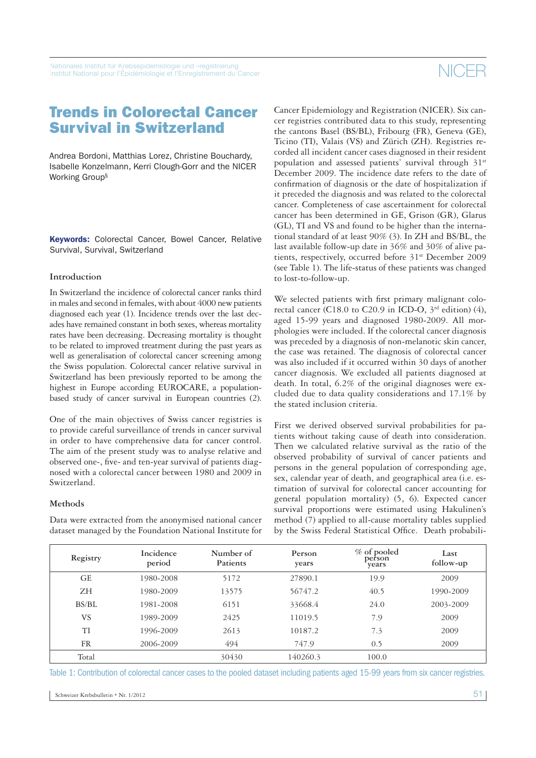### Trends in Colorectal Cancer Survival in Switzerland

Andrea Bordoni, Matthias Lorez, Christine Bouchardy, Isabelle Konzelmann, Kerri Clough-Gorr and the NICER Working Group§

**Keywords:** Colorectal Cancer, Bowel Cancer, Relative Survival, Survival, Switzerland

#### **Introduction**

In Switzerland the incidence of colorectal cancer ranks third in males and second in females, with about 4000 new patients diagnosed each year (1). Incidence trends over the last decades have remained constant in both sexes, whereas mortality rates have been decreasing. Decreasing mortality is thought to be related to improved treatment during the past years as well as generalisation of colorectal cancer screening among the Swiss population. Colorectal cancer relative survival in Switzerland has been previously reported to be among the highest in Europe according EUROCARE, a populationbased study of cancer survival in European countries (2).

One of the main objectives of Swiss cancer registries is to provide careful surveillance of trends in cancer survival in order to have comprehensive data for cancer control. The aim of the present study was to analyse relative and observed one-, five- and ten-year survival of patients diagnosed with a colorectal cancer between 1980 and 2009 in Switzerland.

#### **Methods**

Data were extracted from the anonymised national cancer dataset managed by the Foundation National Institute for Cancer Epidemiology and Registration (NICER). Six cancer registries contributed data to this study, representing the cantons Basel (BS/BL), Fribourg (FR), Geneva (GE), Ticino (TI), Valais (VS) and Zürich (ZH). Registries recorded all incident cancer cases diagnosed in their resident population and assessed patients' survival through 31<sup>st</sup> December 2009. The incidence date refers to the date of confirmation of diagnosis or the date of hospitalization if it preceded the diagnosis and was related to the colorectal cancer. Completeness of case ascertainment for colorectal cancer has been determined in GE, Grison (GR), Glarus (GL), TI and VS and found to be higher than the international standard of at least 90% (3). In ZH and BS/BL, the last available follow-up date in 36% and 30% of alive patients, respectively, occurred before 31<sup>st</sup> December 2009 (see Table 1). The life-status of these patients was changed to lost-to-follow-up.

We selected patients with first primary malignant colorectal cancer (C18.0 to C20.9 in ICD-O,  $3<sup>rd</sup>$  edition) (4), aged 15-99 years and diagnosed 1980-2009. All morphologies were included. If the colorectal cancer diagnosis was preceded by a diagnosis of non-melanotic skin cancer, the case was retained. The diagnosis of colorectal cancer was also included if it occurred within 30 days of another cancer diagnosis. We excluded all patients diagnosed at death. In total, 6.2% of the original diagnoses were excluded due to data quality considerations and 17.1% by the stated inclusion criteria.

First we derived observed survival probabilities for patients without taking cause of death into consideration. Then we calculated relative survival as the ratio of the observed probability of survival of cancer patients and persons in the general population of corresponding age, sex, calendar year of death, and geographical area (i.e. estimation of survival for colorectal cancer accounting for general population mortality) (5, 6). Expected cancer survival proportions were estimated using Hakulinen's method (7) applied to all-cause mortality tables supplied by the Swiss Federal Statistical Office. Death probabili-

| Registry  | Incidence<br>period | Number of<br>Patients | Person<br>years | $\%$ of pooled<br>person<br>years | Last<br>follow-up |
|-----------|---------------------|-----------------------|-----------------|-----------------------------------|-------------------|
| GE        | 1980-2008           | 5172                  | 27890.1         | 19.9                              | 2009              |
| ΖH        | 1980-2009           | 13575                 | 56747.2         | 40.5                              | 1990-2009         |
| BS/BL     | 1981-2008           | 6151                  | 33668.4         | 24.0                              | 2003-2009         |
| <b>VS</b> | 1989-2009           | 2425                  | 11019.5         | 7.9                               | 2009              |
| TI        | 1996-2009           | 2613                  | 10187.2         | 7.3                               | 2009              |
| FR        | 2006-2009           | 494                   | 747.9           | 0.5                               | 2009              |
| Total     |                     | 30430                 | 140260.3        | 100.0                             |                   |

Table 1: Contribution of colorectal cancer cases to the pooled dataset including patients aged 15-99 years from six cancer registries.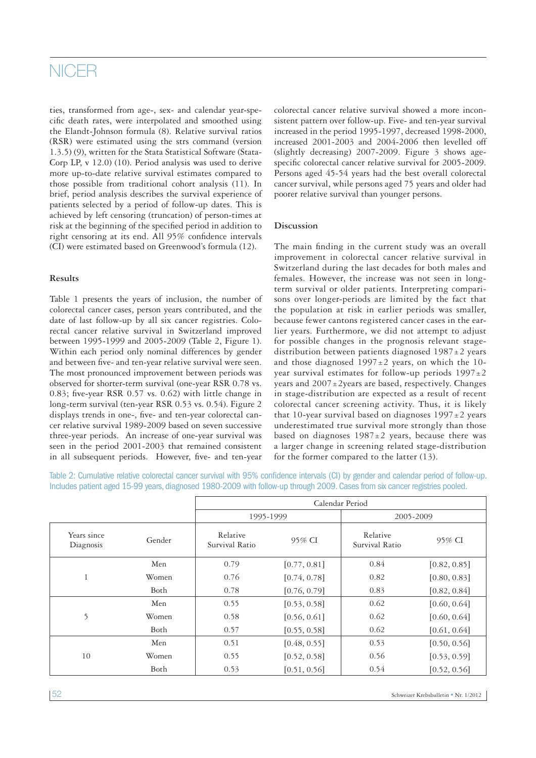### **NICER**

ties, transformed from age-, sex- and calendar year-specific death rates, were interpolated and smoothed using the Elandt-Johnson formula (8). Relative survival ratios (RSR) were estimated using the strs command (version 1.3.5) (9), written for the Stata Statistical Software (Stata-Corp LP, v 12.0) (10). Period analysis was used to derive more up-to-date relative survival estimates compared to those possible from traditional cohort analysis (11). In brief, period analysis describes the survival experience of patients selected by a period of follow-up dates. This is achieved by left censoring (truncation) of person-times at risk at the beginning of the specified period in addition to right censoring at its end. All 95% confidence intervals (CI) were estimated based on Greenwood's formula (12).

### **Results**

Table 1 presents the years of inclusion, the number of colorectal cancer cases, person years contributed, and the date of last follow-up by all six cancer registries. Colorectal cancer relative survival in Switzerland improved between 1995-1999 and 2005-2009 (Table 2, Figure 1). Within each period only nominal differences by gender and between five- and ten-year relative survival were seen. The most pronounced improvement between periods was observed for shorter-term survival (one-year RSR 0.78 vs. 0.83; five-year RSR 0.57 vs. 0.62) with little change in long-term survival (ten-year RSR 0.53 vs. 0.54). Figure 2 displays trends in one-, five- and ten-year colorectal cancer relative survival 1989-2009 based on seven successive three-year periods. An increase of one-year survival was seen in the period 2001-2003 that remained consistent in all subsequent periods. However, five- and ten-year colorectal cancer relative survival showed a more inconsistent pattern over follow-up. Five- and ten-year survival increased in the period 1995-1997, decreased 1998-2000, increased 2001-2003 and 2004-2006 then levelled off (slightly decreasing) 2007-2009. Figure 3 shows agespecific colorectal cancer relative survival for 2005-2009. Persons aged 45-54 years had the best overall colorectal cancer survival, while persons aged 75 years and older had poorer relative survival than younger persons.

#### **Discussion**

The main finding in the current study was an overall improvement in colorectal cancer relative survival in Switzerland during the last decades for both males and females. However, the increase was not seen in longterm survival or older patients. Interpreting comparisons over longer-periods are limited by the fact that the population at risk in earlier periods was smaller, because fewer cantons registered cancer cases in the earlier years. Furthermore, we did not attempt to adjust for possible changes in the prognosis relevant stagedistribution between patients diagnosed  $1987±2$  years and those diagnosed  $1997±2$  years, on which the 10year survival estimates for follow-up periods  $1997 \pm 2$ years and  $2007 \pm 2y$  ears are based, respectively. Changes in stage-distribution are expected as a result of recent colorectal cancer screening activity. Thus, it is likely that 10-year survival based on diagnoses  $1997 \pm 2$  years underestimated true survival more strongly than those based on diagnoses  $1987±2$  years, because there was a larger change in screening related stage-distribution for the former compared to the latter (13).

Table 2: Cumulative relative colorectal cancer survival with 95% confidence intervals (CI) by gender and calendar period of follow-up. Includes patient aged 15-99 years, diagnosed 1980-2009 with follow-up through 2009. Cases from six cancer registries pooled.

|                          |        | Calendar Period            |              |                            |              |  |
|--------------------------|--------|----------------------------|--------------|----------------------------|--------------|--|
|                          |        | 1995-1999                  |              | 2005-2009                  |              |  |
| Years since<br>Diagnosis | Gender | Relative<br>Survival Ratio | 95% CI       | Relative<br>Survival Ratio | 95% CI       |  |
| T                        | Men    | 0.79                       | [0.77, 0.81] | 0.84                       | [0.82, 0.85] |  |
|                          | Women  | 0.76                       | [0.74, 0.78] | 0.82                       | [0.80, 0.83] |  |
|                          | Both   | 0.78                       | [0.76, 0.79] | 0.83                       | [0.82, 0.84] |  |
| 5                        | Men    | 0.55                       | [0.53, 0.58] | 0.62                       | [0.60, 0.64] |  |
|                          | Women  | 0.58                       | [0.56, 0.61] | 0.62                       | [0.60, 0.64] |  |
|                          | Both   | 0.57                       | [0.55, 0.58] | 0.62                       | [0.61, 0.64] |  |
| 10                       | Men    | 0.51                       | [0.48, 0.55] | 0.53                       | [0.50, 0.56] |  |
|                          | Women  | 0.55                       | [0.52, 0.58] | 0.56                       | [0.53, 0.59] |  |
|                          | Both   | 0.53                       | [0.51, 0.56] | 0.54                       | [0.52, 0.56] |  |

52 Schweizer Krebsbulletin Nr. 1/2012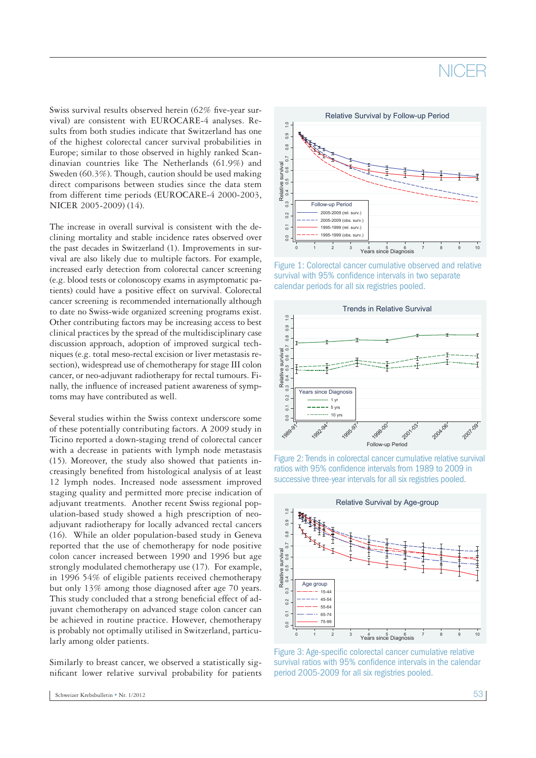## NICER

Swiss survival results observed herein (62% five-year survival) are consistent with EUROCARE-4 analyses. Results from both studies indicate that Switzerland has one of the highest colorectal cancer survival probabilities in Europe; similar to those observed in highly ranked Scandinavian countries like The Netherlands (61.9%) and Sweden (60.3%). Though, caution should be used making direct comparisons between studies since the data stem from different time periods (EUROCARE-4 2000-2003, NICER 2005-2009) (14).

The increase in overall survival is consistent with the declining mortality and stable incidence rates observed over the past decades in Switzerland (1). Improvements in survival are also likely due to multiple factors. For example, increased early detection from colorectal cancer screening (e.g. blood tests or colonoscopy exams in asymptomatic patients) could have a positive effect on survival. Colorectal cancer screening is recommended internationally although to date no Swiss-wide organized screening programs exist. Other contributing factors may be increasing access to best clinical practices by the spread of the multidisciplinary case discussion approach, adoption of improved surgical techniques (e.g. total meso-rectal excision or liver metastasis resection), widespread use of chemotherapy for stage III colon cancer, or neo-adjuvant radiotherapy for rectal tumours. Finally, the influence of increased patient awareness of symptoms may have contributed as well.

Other concidentials factors may be internaling access to best with significant proposition approach, adoption of internality iteration, well-concilently be survival to internality the internality of the model of the model Several studies within the Swiss context underscore some of these potentially contributing factors. A 2009 study in Ticino reported a down-staging trend of colorectal cancer with a decrease in patients with lymph node metastasis (15). Moreover, the study also showed that patients increasingly benefited from histological analysis of at least 12 lymph nodes. Increased node assessment improved staging quality and permitted more precise indication of adjuvant treatments. Another recent Swiss regional population-based study showed a high prescription of neoadjuvant radiotherapy for locally advanced rectal cancers (16). While an older population-based study in Geneva reported that the use of chemotherapy for node positive colon cancer increased between 1990 and 1996 but age strongly modulated chemotherapy use (17). For example, in 1996 54% of eligible patients received chemotherapy but only 13% among those diagnosed after age 70 years. This study concluded that a strong beneficial effect of adjuvant chemotherapy on advanced stage colon cancer can be achieved in routine practice. However, chemotherapy is probably not optimally utilised in Switzerland, particularly among older patients.

Similarly to breast cancer, we observed a statistically significant lower relative survival probability for patients



Figure 1: Colorectal cancer cumulative observed and relative survival with 95% confidence intervals in two separate calendar periods for all six registries pooled.



Figure 2: Trends in colorectal cancer cumulative relative survival ratios with 95% confidence intervals from 1989 to 2009 in successive three-year intervals for all six registries pooled.



Figure 3: Age-specific colorectal cancer cumulative relative survival ratios with 95% confidence intervals in the calendar period 2005-2009 for all six registries pooled.